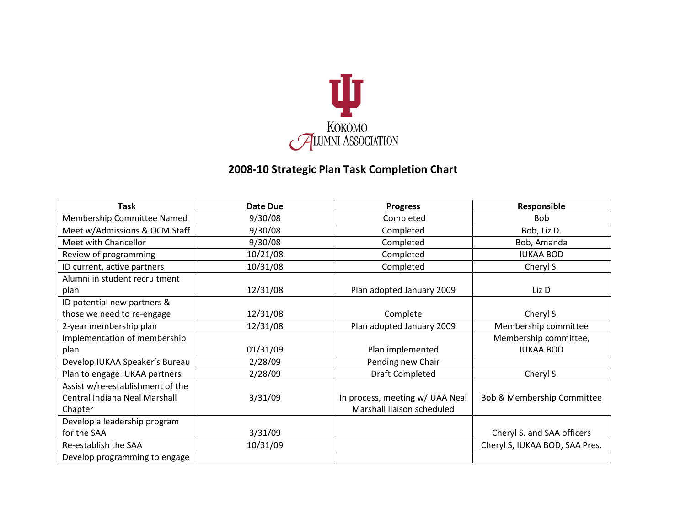

## **2008-10 Strategic Plan Task Completion Chart**

| Task                             | Date Due | <b>Progress</b>                 | Responsible                    |
|----------------------------------|----------|---------------------------------|--------------------------------|
| Membership Committee Named       | 9/30/08  | Completed                       | <b>Bob</b>                     |
| Meet w/Admissions & OCM Staff    | 9/30/08  | Completed                       | Bob, Liz D.                    |
| Meet with Chancellor             | 9/30/08  | Completed                       | Bob, Amanda                    |
| Review of programming            | 10/21/08 | Completed                       | <b>IUKAA BOD</b>               |
| ID current, active partners      | 10/31/08 | Completed                       | Cheryl S.                      |
| Alumni in student recruitment    |          |                                 |                                |
| plan                             | 12/31/08 | Plan adopted January 2009       | Liz D                          |
| ID potential new partners &      |          |                                 |                                |
| those we need to re-engage       | 12/31/08 | Complete                        | Cheryl S.                      |
| 2-year membership plan           | 12/31/08 | Plan adopted January 2009       | Membership committee           |
| Implementation of membership     |          |                                 | Membership committee,          |
| plan                             | 01/31/09 | Plan implemented                | <b>IUKAA BOD</b>               |
| Develop IUKAA Speaker's Bureau   | 2/28/09  | Pending new Chair               |                                |
| Plan to engage IUKAA partners    | 2/28/09  | Draft Completed                 | Cheryl S.                      |
| Assist w/re-establishment of the |          |                                 |                                |
| Central Indiana Neal Marshall    | 3/31/09  | In process, meeting w/IUAA Neal | Bob & Membership Committee     |
| Chapter                          |          | Marshall liaison scheduled      |                                |
| Develop a leadership program     |          |                                 |                                |
| for the SAA                      | 3/31/09  |                                 | Cheryl S. and SAA officers     |
| Re-establish the SAA             | 10/31/09 |                                 | Cheryl S, IUKAA BOD, SAA Pres. |
| Develop programming to engage    |          |                                 |                                |